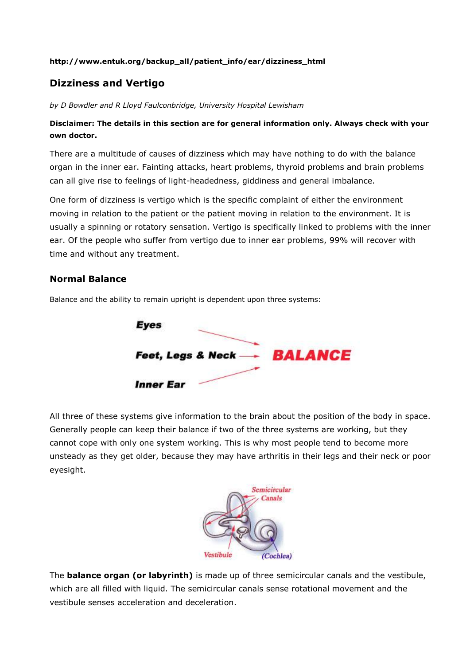### **http://www.entuk.org/backup\_all/patient\_info/ear/dizziness\_html**

# **Dizziness and Vertigo**

*by D Bowdler and R Lloyd Faulconbridge, University Hospital Lewisham*

### **Disclaimer: The details in this section are for general information only. Always check with your own doctor.**

There are a multitude of causes of dizziness which may have nothing to do with the balance organ in the inner ear. Fainting attacks, heart problems, thyroid problems and brain problems can all give rise to feelings of light-headedness, giddiness and general imbalance.

One form of dizziness is vertigo which is the specific complaint of either the environment moving in relation to the patient or the patient moving in relation to the environment. It is usually a spinning or rotatory sensation. Vertigo is specifically linked to problems with the inner ear. Of the people who suffer from vertigo due to inner ear problems, 99% will recover with time and without any treatment.

### **Normal Balance**

Balance and the ability to remain upright is dependent upon three systems:



All three of these systems give information to the brain about the position of the body in space. Generally people can keep their balance if two of the three systems are working, but they cannot cope with only one system working. This is why most people tend to become more unsteady as they get older, because they may have arthritis in their legs and their neck or poor eyesight.



The **balance organ (or labyrinth)** is made up of three semicircular canals and the vestibule, which are all filled with liquid. The semicircular canals sense rotational movement and the vestibule senses acceleration and deceleration.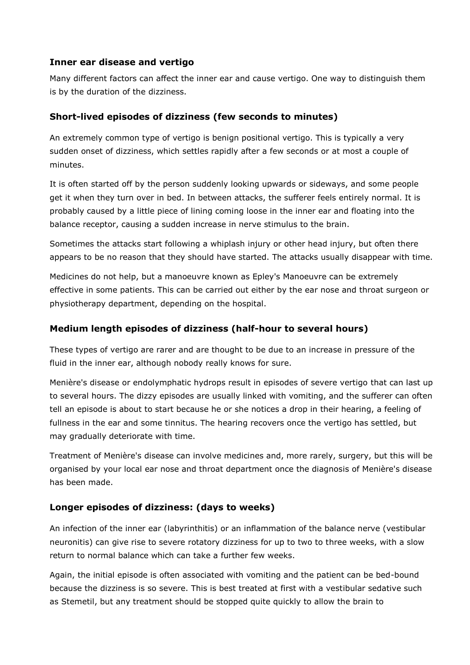## **Inner ear disease and vertigo**

Many different factors can affect the inner ear and cause vertigo. One way to distinguish them is by the duration of the dizziness.

## **Short-lived episodes of dizziness (few seconds to minutes)**

An extremely common type of vertigo is benign positional vertigo. This is typically a very sudden onset of dizziness, which settles rapidly after a few seconds or at most a couple of minutes.

It is often started off by the person suddenly looking upwards or sideways, and some people get it when they turn over in bed. In between attacks, the sufferer feels entirely normal. It is probably caused by a little piece of lining coming loose in the inner ear and floating into the balance receptor, causing a sudden increase in nerve stimulus to the brain.

Sometimes the attacks start following a whiplash injury or other head injury, but often there appears to be no reason that they should have started. The attacks usually disappear with time.

Medicines do not help, but a manoeuvre known as Epley's Manoeuvre can be extremely effective in some patients. This can be carried out either by the ear nose and throat surgeon or physiotherapy department, depending on the hospital.

## **Medium length episodes of dizziness (half-hour to several hours)**

These types of vertigo are rarer and are thought to be due to an increase in pressure of the fluid in the inner ear, although nobody really knows for sure.

Menière's disease or endolymphatic hydrops result in episodes of severe vertigo that can last up to several hours. The dizzy episodes are usually linked with vomiting, and the sufferer can often tell an episode is about to start because he or she notices a drop in their hearing, a feeling of fullness in the ear and some tinnitus. The hearing recovers once the vertigo has settled, but may gradually deteriorate with time.

Treatment of Menière's disease can involve medicines and, more rarely, surgery, but this will be organised by your local ear nose and throat department once the diagnosis of Menière's disease has been made.

## **Longer episodes of dizziness: (days to weeks)**

An infection of the inner ear (labyrinthitis) or an inflammation of the balance nerve (vestibular neuronitis) can give rise to severe rotatory dizziness for up to two to three weeks, with a slow return to normal balance which can take a further few weeks.

Again, the initial episode is often associated with vomiting and the patient can be bed-bound because the dizziness is so severe. This is best treated at first with a vestibular sedative such as Stemetil, but any treatment should be stopped quite quickly to allow the brain to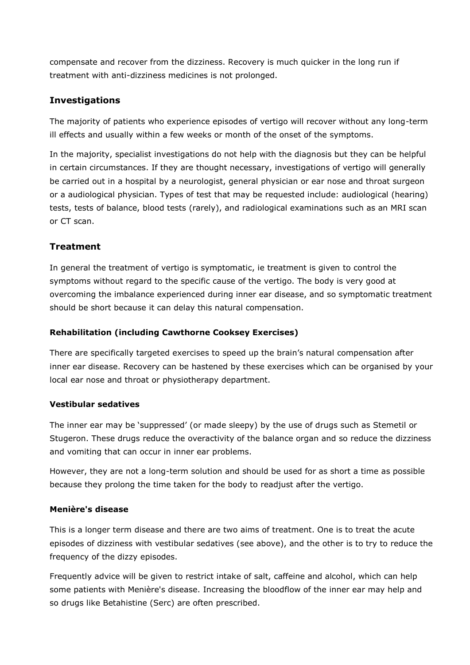compensate and recover from the dizziness. Recovery is much quicker in the long run if treatment with anti-dizziness medicines is not prolonged.

## **Investigations**

The majority of patients who experience episodes of vertigo will recover without any long-term ill effects and usually within a few weeks or month of the onset of the symptoms.

In the majority, specialist investigations do not help with the diagnosis but they can be helpful in certain circumstances. If they are thought necessary, investigations of vertigo will generally be carried out in a hospital by a neurologist, general physician or ear nose and throat surgeon or a audiological physician. Types of test that may be requested include: audiological (hearing) tests, tests of balance, blood tests (rarely), and radiological examinations such as an MRI scan or CT scan.

## **Treatment**

In general the treatment of vertigo is symptomatic, ie treatment is given to control the symptoms without regard to the specific cause of the vertigo. The body is very good at overcoming the imbalance experienced during inner ear disease, and so symptomatic treatment should be short because it can delay this natural compensation.

### **Rehabilitation (including Cawthorne Cooksey Exercises)**

There are specifically targeted exercises to speed up the brain's natural compensation after inner ear disease. Recovery can be hastened by these exercises which can be organised by your local ear nose and throat or physiotherapy department.

### **Vestibular sedatives**

The inner ear may be 'suppressed' (or made sleepy) by the use of drugs such as Stemetil or Stugeron. These drugs reduce the overactivity of the balance organ and so reduce the dizziness and vomiting that can occur in inner ear problems.

However, they are not a long-term solution and should be used for as short a time as possible because they prolong the time taken for the body to readjust after the vertigo.

### **Menière's disease**

This is a longer term disease and there are two aims of treatment. One is to treat the acute episodes of dizziness with vestibular sedatives (see above), and the other is to try to reduce the frequency of the dizzy episodes.

Frequently advice will be given to restrict intake of salt, caffeine and alcohol, which can help some patients with Menière's disease. Increasing the bloodflow of the inner ear may help and so drugs like Betahistine (Serc) are often prescribed.